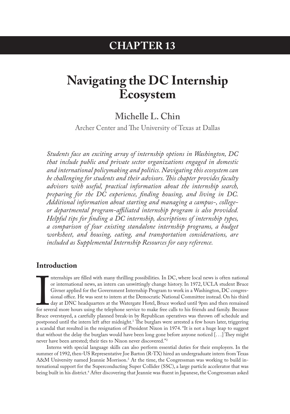## **CHAPTER 13**

# <span id="page-0-0"></span>**Navigating the DC Internship Ecosystem**

## **Michelle L. Chin**

Archer Center and The University of Texas at Dallas

*Students face an exciting array of internship options in Washington, DC that include public and private sector organizations engaged in domestic and international policymaking and politics. Navigating this ecosystem can be challenging for students and their advisors. This chapter provides faculty advisors with useful, practical information about the internship search, preparing for the DC experience, finding housing, and living in DC. Additional information about starting and managing a campus-, collegeor departmental program-affiliated internship program is also provided. Helpful tips for finding a DC internship, descriptions of internship types, a comparison of four existing standalone internship programs, a budget worksheet, and housing, eating, and transportation considerations, are included as Supplemental Internship Resources for easy reference.*

### **Introduction**

For seven nternships are filled with many thrilling possibilities. In DC, where local news is often national or international news, an intern can unwittingly change history. In 1972, UCLA student Bruce Givner applied for the Government Internship Program to work in a Washington, DC congressional office. He was sent to intern at the Democratic National Committee instead. On his third day at DNC headquarters at the Watergate Hotel, Bruce worked until 9pm and then remained for several more hours using the telephone service to make free calls to his friends and family. Because Bruce overstayed, a carefully planned break-in by Republican operatives was thrown off schedule and postponed until the intern left after midnight.<sup>1</sup> The burglars were arrested a few hours later, triggering a scandal that resulted in the resignation of President Nixon in 1974. "It is not a huge leap to suggest that without the delay the burglars would have been long gone before anyone noticed [. . .] They might never have been arrested; their ties to Nixon never discovered."[2](#page-13-0)

Interns with special language skills can also perform essential duties for their employers. In the summer of 1992, then-US Representative Joe Barton (R-TX) hired an undergraduate intern from Texas A&M University named Jeannie Morrison.<sup>[3](#page-13-0)</sup> At the time, the Congressman was working to build international support for the Superconducting Super Collider (SSC), a large particle accelerator that was being built in his district[.4](#page-13-0) After discovering that Jeannie was fluent in Japanese, the Congressman asked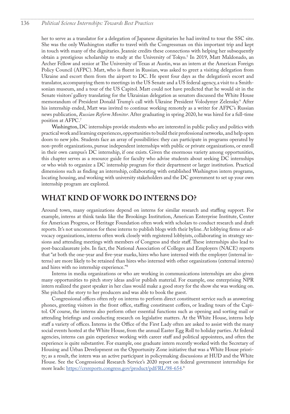<span id="page-1-0"></span>her to serve as a translator for a delegation of Japanese dignitaries he had invited to tour the SSC site. She was the only Washington staffer to travel with the Congressman on this important trip and kept in touch with many of the dignitaries. Jeannie credits these connections with helping her subsequently obtain a prestigious scholarship to study at the University of Tokyo.<sup>5</sup> In 2019, Matt Maldonado, an Archer Fellow and senior at The University of Texas at Austin, was an intern at the American Foreign Policy Council (AFPC). Matt, who is fluent in Russian, was asked to greet a visiting delegation from Ukraine and escort them from the airport to DC. He spent four days as the delegation's escort and translator, accompanying them to meetings in the US Senate and a US federal agency, a visit to a Smithsonian museum, and a tour of the US Capitol. Matt could not have predicted that he would sit in the Senate visitors' gallery translating for the Ukrainian delegation as senators discussed the White House memorandum of President Donald Trump's call with Ukraine President Volodymyr Zelensky.[6](#page-14-0) After his internship ended, Matt was invited to continue working remotely as a writer for AFPC's Russian news publication, *Russian Reform Monitor*. After graduating in spring 2020, he was hired for a full-time position at AFPC[.7](#page-14-0)

Washington, DC internships provide students who are interested in public policy and politics with practical work and learning experiences, opportunities to build their professional networks, and help open doors to new jobs. Students face an array of possibilities: they can participate in programs operated by non-profit organizations, pursue independent internships with public or private organizations, or enroll in their own campus's DC internship, if one exists. Given the enormous variety among opportunities, this chapter serves as a resource guide for faculty who advise students about seeking DC internships or who wish to organize a DC internship program for their department or larger institution. Practical dimensions such as finding an internship, collaborating with established Washington intern programs, locating housing, and working with university stakeholders and the DC government to set up your own internship program are explored.

## **WHAT KIND OF WORK DO INTERNS DO?**

Around town, many organizations depend on interns for similar research and staffing support. For example, interns at think tanks like the Brookings Institution, American Enterprise Institute, Center for American Progress, or Heritage Foundation often work with scholars to conduct research and draft reports. It's not uncommon for these interns to publish blogs with their byline. At lobbying firms or advocacy organizations, interns often work closely with registered lobbyists, collaborating in strategy sessions and attending meetings with members of Congress and their staff. These internships also lead to post-baccalaureate jobs. In fact, the National Association of Colleges and Employers (NACE) reports that "at both the one-year and five-year marks, hires who have interned with the employer (internal interns) are more likely to be retained than hires who interned with other organizations (external interns) and hires with no internship experience."[8](#page-14-0)

Interns in media organizations or who are working in communications internships are also given many opportunities to pitch story ideas and/or publish material. For example, one enterprising NPR intern realized the guest speaker in her class would make a good story for the show she was working on. She pitched the story to her producers and was able to book the guest.

Congressional offices often rely on interns to perform direct constituent service such as answering phones, greeting visitors in the front office, staffing constituent coffees, or leading tours of the Capitol. Of course, the interns also perform other essential functions such as opening and sorting mail or attending briefings and conducting research on legislative matters. At the White House, interns help staff a variety of offices. Interns in the Office of the First Lady often are asked to assist with the many social events hosted at the White House, from the annual Easter Egg Roll to holiday parties. At federal agencies, interns can gain experience working with career staff and political appointees, and often the experience is quite substantive. For example, one graduate intern recently worked with the Secretary of Housing and Urban Development on the Opportunity Zone initiative that was a White House priority; as a result, the intern was an active participant in policymaking discussions at HUD and the White House. See the Congressional Research Service's 2020 report on federal government internships for more leads: <u>https://crsreports.congress.gov/product/pdf/RL/[9](#page-14-0)8-654</u>.'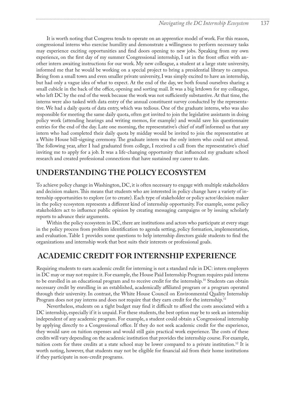<span id="page-2-0"></span>It is worth noting that Congress tends to operate on an apprentice model of work. For this reason, congressional interns who exercise humility and demonstrate a willingness to perform necessary tasks may experience exciting opportunities and find doors opening to new jobs. Speaking from my own experience, on the first day of my summer Congressional internship, I sat in the front office with another intern awaiting instructions for our work. My new colleague, a student at a large state university, informed me that he would be working on a special project to bring a presidential library to campus. Being from a small town and even smaller private university, I was simply excited to have an internship, but had only a vague idea of what to expect. At the end of the day, we both found ourselves sharing a small cubicle in the back of the office, opening and sorting mail. It was a big letdown for my colleague, who left DC by the end of the week because the work was not sufficiently substantive. At that time, the interns were also tasked with data entry of the annual constituent survey conducted by the representative. We had a daily quota of data entry, which was tedious. One of the graduate interns, who was also responsible for meeting the same daily quota, often got invited to join the legislative assistants in doing policy work (attending hearings and writing memos, for example) and would save his questionnaire entries for the end of the day. Late one morning, the representative's chief of staff informed us that any intern who had completed their daily quota by midday would be invited to join the representative at a White House bill-signing ceremony. The graduate intern was the only intern who could not attend. The following year, after I had graduated from college, I received a call from the representative's chief inviting me to apply for a job. It was a life-changing opportunity that influenced my graduate school research and created professional connections that have sustained my career to date.

## **UNDERSTANDING THE POLICY ECOSYSTEM**

To achieve policy change in Washington, DC, it is often necessary to engage with multiple stakeholders and decision makers. This means that students who are interested in policy change have a variety of internship opportunities to explore (or to create). Each type of stakeholder or policy actor/decision maker in the policy ecosystem represents a different kind of internship opportunity. For example, some policy stakeholders act to influence public opinion by creating messaging campaigns or by issuing scholarly reports to advance their arguments.

Within the policy ecosystem in DC, there are institutions and actors who participate at every stage in the policy process from problem identification to agenda setting, policy formation, implementation, and evaluation. Table 1 provides some questions to help internship directors guide students to find the organizations and internship work that best suits their interests or professional goals.

## **ACADEMIC CREDIT FOR INTERNSHIP EXPERIENCE**

Requiring students to earn academic credit for interning is not a standard rule in DC: intern employers in DC may or may not require it. For example, the House Paid Internship Program requires paid interns to be enrolled in an educational program and to receive credit for the internship.[10](#page-14-0) Students can obtain necessary credit by enrolling in an established, academically affiliated program or a program operated through their university. In contrast, the White House Council on Environmental Quality Internship Program does not pay interns and does not require that they earn credit for the internship.<sup>[11](#page-14-0)</sup>

Nevertheless, students on a tight budget may find it difficult to afford the costs associated with a DC internship, especially if it is unpaid. For these students, the best option may be to seek an internship independent of any academic program. For example, a student could obtain a Congressional internship by applying directly to a Congressional office. If they do not seek academic credit for the experience, they would save on tuition expenses and would still gain practical work experience. The costs of these credits will vary depending on the academic institution that provides the internship course. For example, tuition costs for three credits at a state school may be lower compared to a private institution.<sup>12</sup> It is worth noting, however, that students may not be eligible for financial aid from their home institutions if they participate in non-credit programs.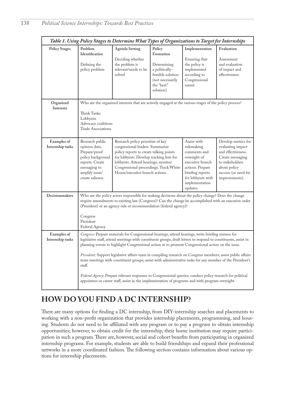| Table 1. Using Policy Stages to Determine What Types of Organizations to Target for Internships |                                                                                                                                                                                                                                                                                                                                                                                                                                                                                                                                                                                                                                                                                                                                                                                     |                                                                                                                                                                                                                                                                                   |                                                                                                                          |                                                                                                                                                                           |                                                                                                                                                                 |  |
|-------------------------------------------------------------------------------------------------|-------------------------------------------------------------------------------------------------------------------------------------------------------------------------------------------------------------------------------------------------------------------------------------------------------------------------------------------------------------------------------------------------------------------------------------------------------------------------------------------------------------------------------------------------------------------------------------------------------------------------------------------------------------------------------------------------------------------------------------------------------------------------------------|-----------------------------------------------------------------------------------------------------------------------------------------------------------------------------------------------------------------------------------------------------------------------------------|--------------------------------------------------------------------------------------------------------------------------|---------------------------------------------------------------------------------------------------------------------------------------------------------------------------|-----------------------------------------------------------------------------------------------------------------------------------------------------------------|--|
| <b>Policy Stages</b>                                                                            | Problem<br>Identification<br>Defining the<br>policy problem                                                                                                                                                                                                                                                                                                                                                                                                                                                                                                                                                                                                                                                                                                                         | <b>Agenda Setting</b><br>Deciding whether<br>the problem is<br>relevant/needs to be<br>solved                                                                                                                                                                                     | Policy<br>Formation<br>Determining<br>a politically-<br>feasible solution<br>(not necessarily<br>the "best"<br>solution) | Implementation<br>Ensuring that<br>the policy is<br>implemented<br>according to<br>Congressional<br>intent                                                                | Evaluation<br>Assessment<br>and evaluation<br>of impact and<br>effectiveness                                                                                    |  |
| Organized<br>Interests                                                                          | Who are the organized interests that are actively engaged at the various stages of the policy process?<br>Think Tanks<br>Lobbyists<br>Advocacy coalitions<br><b>Trade Associations</b>                                                                                                                                                                                                                                                                                                                                                                                                                                                                                                                                                                                              |                                                                                                                                                                                                                                                                                   |                                                                                                                          |                                                                                                                                                                           |                                                                                                                                                                 |  |
| Examples of<br>Internship tasks                                                                 | Research public<br>opinion data.<br>Prepare/proof<br>policy background<br>reports. Create<br>messaging to<br>amplify issue/<br>create salience.                                                                                                                                                                                                                                                                                                                                                                                                                                                                                                                                                                                                                                     | Research policy priorities of key<br>congressional leaders. Summarize<br>policy reports to create talking points<br>for lobbyists. Develop tracking lists for<br>lobbyists. Attend hearings; monitor<br>Congressional proceedings. Track White<br>House/executive branch actions. |                                                                                                                          | Assist with<br>rulemaking<br>comments and<br>oversight of<br>executive branch<br>actions. Prepare<br>briefing reports<br>for lobbyists with<br>implementation<br>updates. | Develop metrics for<br>evaluating impact<br>and effectiveness.<br>Create messaging<br>to stakeholders<br>about policy<br>success (or need for<br>improvements). |  |
| Decisionmakers                                                                                  | Who are the policy actors responsible for making decisions about the policy change? Does the change<br>require amendments to existing law (Congress)? Can the change be accomplished with an executive order<br>(President) or an agency rule or recommendation (federal agency)?<br>Congress<br>President<br>Federal Agency                                                                                                                                                                                                                                                                                                                                                                                                                                                        |                                                                                                                                                                                                                                                                                   |                                                                                                                          |                                                                                                                                                                           |                                                                                                                                                                 |  |
| Examples of<br>Internship tasks                                                                 | Congress: Prepare materials for Congressional hearings, attend hearings, write briefing memos for<br>legislative staff, attend meetings with constituent groups, draft letters to respond to constituents, assist in<br>planning events to highlight Congressional action or to promote Congressional action on the issue.<br>President: Support legislative affairs team in compiling research on Congress members; assist public affairs<br>team meetings with constituent groups; assist with administrative tasks for any member of the President's<br>staff.<br>Federal Agency: Prepare relevant responses to Congressional queries; conduct policy research for political<br>appointees or career staff; assist in the implementation of programs and with program oversight. |                                                                                                                                                                                                                                                                                   |                                                                                                                          |                                                                                                                                                                           |                                                                                                                                                                 |  |

## **HOW DO YOU FIND A DC INTERNSHIP?**

There are many options for finding a DC internship, from DIY-internship searches and placements to working with a non-profit organization that provides internship placements, programming, and housing. Students do not need to be affiliated with any program or to pay a program to obtain internship opportunities; however, to obtain credit for the internship, their home institution may require participation in such a program. There are, however, social and cohort benefits from participating in organized internship programs. For example, students are able to build friendships and expand their professional networks in a more coordinated fashion. The following section contains information about various options for internship placements.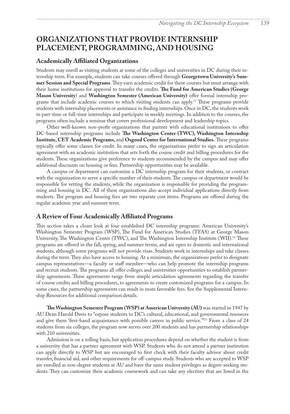## <span id="page-4-0"></span>**ORGANIZATIONS THAT PROVIDE INTERNSHIP PLACEMENT, PROGRAMMING, AND HOUSING**

### **Academically Affiliated Organizations**

Students may enroll as visiting students at some of the colleges and universities in DC during their internship term. For example, students can take courses offered through **Georgetown University's Summer Session and Special Programs**. They earn academic credit for these courses but must arrange with their home institutions for approval to transfer the credits. **The Fund for American Studies (George Mason University**) and **Washington Semester (American University)** offer formal internship programs that include academic courses to which visiting students can apply[.13](#page-14-0) These programs provide students with internship placements or assistance in finding internships. Once in DC, the students work in part-time or full-time internships and participate in weekly meetings. In addition to the courses, the programs often include a seminar that covers professional development and leadership topics.

Other well-known non-profit organizations that partner with educational institutions to offer DC-based internship programs include **The Washington Center (TWC), Washington Internship Institute, CET Academic Programs,** and **Osgood Center for International Studies.** These programs typically offer some classes for credit. In many cases, the organizations prefer to sign an articulation agreement with an academic institution that sets forth the course credit and billing procedures for the students. These organizations give preference to students recommended by the campus and may offer additional discounts on housing or fees. Partnership opportunities may be available.

A campus or department can customize a DC internship program for their students, or contract with the organization to serve a specific number of their students. The campus or department would be responsible for vetting the students, while the organization is responsible for providing the programming and housing in DC. All of these organizations also accept individual applications directly from students. The program and housing fees are two separate cost items. Programs are offered during the regular academic year and summer term.

### **A Review of Four Academically Affiliated Programs**

This section takes a closer look at four established DC internship programs: American University's Washington Semester Program (WSP), The Fund for American Studies (TFAS) at George Mason University, The Washington Center (TWC), and The Washington Internship Institute (WII).[14](#page-14-0) These programs are offered in the fall, spring, and summer terms, and are open to domestic and international students, although some programs will not provide visas. Students work in internships and take classes during the term. They also have access to housing. At a minimum, the organizations prefer to designate campus representatives—a faculty or staff member—who can help promote the internship programs and recruit students. The programs all offer colleges and universities opportunities to establish partnership agreements. These agreements range from simple articulation agreements regarding the transfer of course credits and billing procedures, to agreements to create customized programs for a campus. In some cases, the partnership agreements can result in more favorable fees. See the Supplemental Internship Resources for additional comparison details.

**The Washington Semester Program (WSP) at American University (AU)** was started in 1947 by AU Dean Harold Davis to "expose students to DC's cultural, educational, and governmental resources and give them 'first-hand acquaintance with possible careers in public service.'"[15](#page-14-0) From a class of 24 students from six colleges, the program now serves over 200 students and has partnership relationships with 210 universities.

Admission is on a rolling basis, but application procedures depend on whether the student is from a university that has a partner agreement with WSP. Students who do not attend a partner institution can apply directly to WSP but are encouraged to first check with their faculty advisor about credit transfer, financial aid, and other requirements for off-campus study. Students who are accepted to WSP are enrolled as non-degree students at AU and have the same student privileges as degree-seeking students. They can customize their academic coursework and can take any electives that are listed in the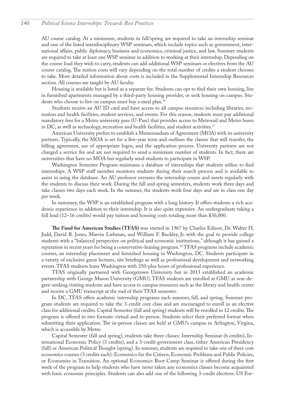#### <span id="page-5-0"></span>140 *Political Science Internships: Towards Best Practices*

AU course catalog. At a minimum, students in fall/spring are required to take an internship seminar and one of the listed interdisciplinary WSP seminars, which include topics such as government, international affairs, public diplomacy, business and economics, criminal justice, and law. Summer students are required to take at least one WSP seminar in addition to working at their internship. Depending on the course load they wish to carry, students can add additional WSP seminars or electives from the AU course catalog. The tuition costs will vary depending on the total number of credits a student chooses to take. More detailed information about costs is included in the Supplemental Internship Resources section. All courses are taught by AU faculty.

Housing is available but is listed as a separate fee. Students can opt to find their own housing, live in furnished apartments managed by a third-party housing provider, or seek housing on campus. Students who choose to live on campus must buy a meal plan.[16](#page-14-0)

Students receive an AU ID card and have access to all campus resources including libraries, recreation and health facilities, student services, and events. For this reason, students must pay additional mandatory fees for a Metro university pass (U-Pass) that provides access to Metrorail and Metro buses in DC, as well as technology, recreation and health facilities, and student activities.<sup>[17](#page-14-0)</sup>

American University prefers to establish a Memorandum of Agreement (MOA) with its university partners. Typically, the MOA is set for a five-year term and outlines the classes that will transfer, the billing agreement, use of appropriate logos, and the application process. University partners are not charged a service fee and are not required to send a minimum number of students. In fact, there are universities that have no MOA but regularly send students to participate in WSP.

Washington Semester Program maintains a database of internships that students utilize to find internships. A WSP staff member monitors students during their search process and is available to assist in using the database. An AU professor oversees the internship course and meets regularly with the students to discuss their work. During the fall and spring semesters, students work three days and take classes two days each week. In the summer, the students work four days and are in class one day per week.

In summary, the WSP is an established program with a long history. It offers students a rich academic experience in addition to their internship. It is also quite expensive. An undergraduate taking a full load (12-16 credits) would pay tuition and housing costs totaling more than \$30,000.

**The Fund for American Studies (TFAS)** was started in 1967 by Charles Edison, Dr. Walter H. Judd, David R. Jones, Marvin Liebman, and William F. Buckley, Jr. with the goal to provide college students with a "balanced perspective on political and economic institutions," although it has gained a reputation in recent years for being a conservative-leaning program[.18](#page-14-0) TFAS programs include academic courses, an internship placement and furnished housing in Washington, DC. Students participate in a variety of exclusive guest lectures, site briefings as well as professional development and networking events. TFAS students leave Washington with 250-plus hours of professional experience.

TFAS originally partnered with Georgetown University but in 2013 established an academic partnership with George Mason University (GMU). TFAS students are enrolled at GMU as non-degree-seeking visiting students and have access to campus resources such as the library and health center and receive a GMU transcript at the end of their TFAS semester.

In DC, TFAS offers academic internship programs each summer, fall, and spring. Summer program students are required to take the 3-credit core class and are encouraged to enroll in an elective class for additional credits. Capital Semester (fall and spring) students will be enrolled in 12 credits. The program is offered in two formats: virtual and in-person. Students select their preferred format when submitting their application. The in-person classes are held at GMU's campus in Arlington, Virgina, which is accessible by Metro.

Capital Semester (fall and spring), students take three classes: Internship Seminar (6 credits), International Economic Policy (3 credits), and a 3-credit government class, either American Presidency (fall) or American Political Thought (spring). In summer, students are required to take one of three core economics courses (3 credits each): Economics for the Citizen, Economic Problems and Public Policies, or Economies in Transition. An optional Economics Boot Camp Seminar is offered during the first week of the program to help students who have never taken any economics classes become acquainted with basic economic principles. Students can also add one of the following 3-credit electives: US For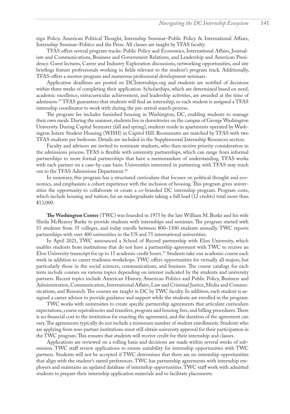<span id="page-6-0"></span>eign Policy, American Political Thought, Internship Seminar–Public Policy & International Affairs, Internship Seminar–Politics and the Press. All classes are taught by TFAS faculty.

TFAS offers several program tracks: Public Policy and Economics, International Affairs, Journalism and Communications, Business and Government Relations, and Leadership and American Presidency. Guest lectures, Career and Industry Exploration discussions, networking opportunities, and site briefings feature professionals working in fields relevant to the student's program track. Additionally, TFAS offers a mentor program and numerous professional development seminars.

Application deadlines are posted on DCInternships.org and students are notified of decisions within three weeks of completing their application. Scholarships, which are determined based on need, academic excellence, extracurricular achievement, and leadership activities, are awarded at the time of admission[.19](#page-14-0) TFAS guarantees that students will find an internship, so each student is assigned a TFAS internship coordinator to work with during the pre-arrival search process.

The program fee includes furnished housing in Washington, DC, enabling students to manage their own meals. During the summer, students live in dormitories on the campus of George Washington University. During Capital Semester (fall and spring), students reside in apartments operated by Washington Intern Student Housing (WISH) in Capitol Hill. Roommates are matched by TFAS with two TFAS students per bedroom. Details are included in the Supplemental Internship Resources section.

Faculty and advisors are invited to nominate students, who then receive priority consideration in the admissions process. TFAS is flexible with university partnerships, which can range from informal partnerships to more formal partnerships that have a memorandum of understanding. TFAS works with each partner on a case-by-case basis. Universities interested in partnering with TFAS may reach out to the TFAS Admissions Department.<sup>[20](#page-14-0)</sup>

In summary, this program has a structured curriculum that focuses on political thought and economics, and emphasizes a cohort experience with the inclusion of housing. This program gives universities the opportunity to collaborate or create a co-branded DC internship program. Program costs, which include housing and tuition, for an undergraduate taking a full load (12 credits) total more than \$13,000.

**The Washington Center** (TWC) was founded in 1975 by the late William M. Burke and his wife Sheila McReavey Burke to provide students with internships and seminars. The program started with 51 students from 35 colleges, and today enrolls between 800-1500 students annually. TWC reports partnerships with over 400 universities in the US and 75 international universities.

In April 2021, TWC announced a School of Record partnership with Elon University, which enables students from institutions that do not have a partnership agreement with TWC to receive an Elon University transcript for up to 15 academic credit hours.<sup>21</sup> Students take one academic course each week in addition to career readiness workshops. TWC offers opportunities for virtually all majors, but particularly those in the social sciences, communications, and business. The course catalogs for each term include courses on various topics depending on interest indicated by the students and university partners. Recent topics include American History, American Politics and Public Policy, Business and Administration, Communication, International Affairs, Law and Criminal Justice, Media and Communications, and Research. The courses are taught in DC by TWC faculty. In addition, each student is assigned a career advisor to provide guidance and support while the students are enrolled in the program.

TWC works with universities to create specific partnership agreements that articulate curriculum expectations, course equivalencies and transfers, program and housing fees, and billing procedures. There is no financial cost to the institution for enacting the agreement, and the duration of the agreement can vary. The agreements typically do not include a minimum number of student enrollments. Students who are applying from non-partner institutions must still obtain university approval for their participation in the TWC program. This ensures that students will receive credit for their internship and classes.

Applications are reviewed on a rolling basis and decisions are made within several weeks of submission. TWC staff review applications to ensure suitability for internship opportunities with TWC partners. Students will not be accepted if TWC determines that there are no internship opportunities that align with the student's stated preferences. TWC has partnership agreements with internship employers and maintains an updated database of internship opportunities. TWC staff work with admitted students to prepare their internship application materials and to facilitate placements.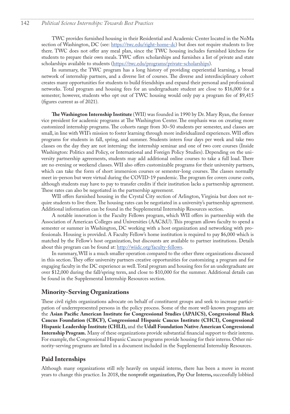TWC provides furnished housing in their Residential and Academic Center located in the NoMa section of Washington, DC (see: [https://twc.edu/right-home-dc\)](https://twc.edu/right-home-dc) but does not require students to live there. TWC does not offer any meal plan, since the TWC housing includes furnished kitchens for students to prepare their own meals. TWC offers scholarships and furnishes a list of private and state scholarships available to students [\(https://twc.edu/programs/private-scholarships](https://twc.edu/programs/private-scholarships)).

In summary, the TWC program has a long history of providing experiential learning, a broad network of internship partners, and a diverse list of courses. The diverse and interdisciplinary cohort creates many opportunities for students to build friendships and expand their personal and professional networks. Total program and housing fees for an undergraduate student are close to \$16,000 for a semester; however, students who opt out of TWC housing would only pay a program fee of \$9,415 (figures current as of 2021).

**The Washington Internship Institute** (WII) was founded in 1990 by Dr. Mary Ryan, the former vice president for academic programs at The Washington Center. The emphasis was on creating more customized internship programs. The cohorts range from 30-50 students per semester, and classes are small, in line with WII's mission to foster learning through more individualized experiences. WII offers programs for students in fall, spring, and summer. Students intern four days per week and take two classes on the day they are not interning: the internship seminar and one of two core courses (Inside Washington: Politics and Policy, or International and Foreign Policy Studies). Depending on the university partnership agreements, students may add additional online courses to take a full load. There are no evening or weekend classes. WII also offers customizable programs for their university partners, which can take the form of short immersion courses or semester-long courses. The classes normally meet in-person but were virtual during the COVID-19 pandemic. The program fee covers course costs, although students may have to pay to transfer credits if their institution lacks a partnership agreement. These rates can also be negotiated in the partnership agreement.

WII offers furnished housing in the Crystal City section of Arlington, Virginia but does not require students to live there. The housing rates can be negotiated in a university's partnership agreement. Additional information can be found in the Supplemental Internship Resources section.

A notable innovation is the Faculty Fellows program, which WII offers in partnership with the Association of American Colleges and Universities (AAC&U). This program allows faculty to spend a semester or summer in Washington, DC working with a host organization and networking with professionals. Housing is provided. A Faculty Fellow's home institution is required to pay \$6,000 which is matched by the Fellow's host organization, but discounts are available to partner institutions. Details about this program can be found at: [http://wiidc.org/faculty-fellows.](http://wiidc.org/faculty-fellows)

In summary, WII is a much smaller operation compared to the other three organizations discussed in this section. They offer university partners creative opportunities for customizing a program and for engaging faculty in the DC experience as well. Total program and housing fees for an undergraduate are over \$12,000 during the fall/spring term, and close to \$10,000 for the summer. Additional details can be found in the Supplemental Internship Resources section.

### **Minority-Serving Organizations**

These civil rights organizations advocate on behalf of constituent groups and seek to increase participation of underrepresented persons in the policy process. Some of the more well-known programs are the **Asian Pacific American Institute for Congressional Studies (APAICS), Congressional Black Caucus Foundation (CBCF), Congressional Hispanic Caucus Institute (CHCI), Congressional Hispanic Leadership Institute (CHLI),** and the **Udall Foundation Native American Congressional Internship Program.** Many of these organizations provide substantial financial support to their interns. For example, the Congressional Hispanic Caucus programs provide housing for their interns. Other minority-serving programs are listed in a document included in the Supplemental Internship Resources.

### **Paid Internships**

Although many organizations still rely heavily on unpaid interns, there has been a move in recent years to change this practice. In 2018, the nonprofit organization, Pay Our Interns**,** successfully lobbied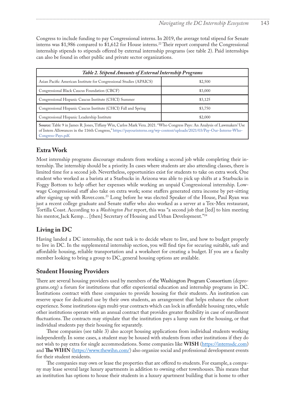<span id="page-8-0"></span>Congress to include funding to pay Congressional interns. In 2019, the average total stipend for Senate interns was \$1,986 compared to \$1,612 for House interns.<sup>22</sup> Their report compared the Congressional internship stipends to stipends offered by external internship programs (see table 2). Paid internships can also be found in other public and private sector organizations.

| Table 2. Stipend Amounts of External Internship Programs                                                                                                                                                                                                                  |         |  |  |  |
|---------------------------------------------------------------------------------------------------------------------------------------------------------------------------------------------------------------------------------------------------------------------------|---------|--|--|--|
| Asian Pacific American Institute for Congressional Studies (APAICS)                                                                                                                                                                                                       | \$2,500 |  |  |  |
| Congressional Black Caucus Foundation (CBCF)                                                                                                                                                                                                                              | \$3,000 |  |  |  |
| Congressional Hispanic Caucus Institute (CHCI) Summer                                                                                                                                                                                                                     | \$3,125 |  |  |  |
| Congressional Hispanic Caucus Institute (CHCI) Fall and Spring                                                                                                                                                                                                            | \$3,750 |  |  |  |
| Congressional Hispanic Leadership Institute                                                                                                                                                                                                                               | \$2,000 |  |  |  |
| Source: Table 9 in James R. Jones, Tiffany Win, Carlos Mark Vera. 2021. "Who Congress Pays: An Analysis of Lawmakers' Use<br>of Intern Allowances in the 116th Congress," https://payourinterns.org/wp-content/uploads/2021/03/Pay-Our-Interns-Who-<br>Congress-Pays.pdf. |         |  |  |  |

### **Extra Work**

Most internship programs discourage students from working a second job while completing their internship. The internship should be a priority. In cases where students are also attending classes, there is limited time for a second job. Nevertheless, opportunities exist for students to take on extra work. One student who worked as a barista at a Starbucks in Arizona was able to pick up shifts at a Starbucks in Foggy Bottom to help offset her expenses while working an unpaid Congressional internship. Lowwage Congressional staff also take on extra work; some staffers generated extra income by pet-sitting after signing up with Rover.com[.23](#page-15-0) Long before he was elected Speaker of the House, Paul Ryan was just a recent college graduate and Senate staffer who also worked as a server at a Tex-Mex restaurant, Tortilla Coast. According to a *Washington Post* report, this was "a second job that [led] to him meeting his mentor, Jack Kemp... [then] Secretary of Housing and Urban Development."<sup>[24](#page-15-0)</sup>

### **Living in DC**

Having landed a DC internship, the next task is to decide where to live, and how to budget properly to live in DC. In the supplemental internship section, you will find tips for securing suitable, safe and affordable housing, reliable transportation and a worksheet for creating a budget. If you are a faculty member looking to bring a group to DC, general housing options are available.

### **Student Housing Providers**

There are several housing providers used by members of the Washington Program Consortium (dcprograms.org) a forum for institutions that offer experiential education and internship programs in DC. Institutions contract with these companies to provide housing for their students. An institution can reserve space for dedicated use by their own students, an arrangement that helps enhance the cohort experience. Some institutions sign multi-year contracts which can lock in affordable housing rates, while other institutions operate with an annual contract that provides greater flexibility in case of enrollment fluctuations. The contracts may stipulate that the institution pays a lump sum for the housing, or that individual students pay their housing fee separately.

These companies (see table 3) also accept housing applications from individual students working independently. In some cases, a student may be housed with students from other institutions if they do not wish to pay extra for single accommodations. Some companies like **WISH** (<https://internsdc.com>) and **The WIHN** [\(https://www.thewihn.com/](https://www.thewihn.com/)) also organize social and professional development events for their student residents.

The companies may own or lease the properties that are offered to students. For example, a company may lease several large luxury apartments in addition to owning other townhouses. This means that an institution has options to house their students in a luxury apartment building that is home to other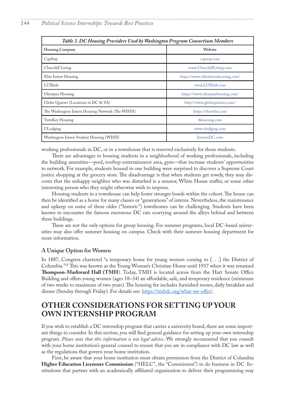<span id="page-9-0"></span>

| Table 3. DC Housing Providers Used by Washington Program Consortium Members |                                     |  |  |  |
|-----------------------------------------------------------------------------|-------------------------------------|--|--|--|
| <b>Housing Company</b>                                                      | Website                             |  |  |  |
| CapStay                                                                     | capstay.com                         |  |  |  |
| Churchill Living                                                            | www.ChurchillLiving.com             |  |  |  |
| Elite Intern Housing                                                        | https://www.eliteinternhousing.com/ |  |  |  |
| LUXbnb                                                                      | www.LUXbnb.com                      |  |  |  |
| Olympus Housing                                                             | https://www.olympushousing.com/     |  |  |  |
| Globe Quarter (Locations in DC & VA)                                        | http://www.globequarters.com/       |  |  |  |
| The Washington Intern Housing Network (The WIHN)                            | https://thewihn.com                 |  |  |  |
| TurnKey Housing                                                             | tkhousing.com                       |  |  |  |
| ULodging                                                                    | www.ulodging.com                    |  |  |  |
| Washington Intern Student Housing (WISH)                                    | InternsDC.com                       |  |  |  |

working professionals in DC, or in a townhouse that is reserved exclusively for those students.

There are advantages to housing students in a neighborhood of working professionals, including the building amenities—pool, rooftop entertainment area, gym—that increase students' opportunities to network. For example, students housed in one building were surprised to discover a Supreme Court justice shopping at the grocery store. The disadvantage is that when students get rowdy, they may discover that the unhappy neighbor who was disturbed is a senator, White House staffer, or some other interesting person who they might otherwise wish to impress.

Housing students in a townhouse can help foster stronger bonds within the cohort. The house can then be identified as a home for many classes or "generations" of interns. Nevertheless, the maintenance and upkeep on some of these older ("historic") townhomes can be challenging. Students have been known to encounter the famous enormous DC rats scurrying around the alleys behind and between these buildings.

These are not the only options for group housing. For summer programs, local DC-based universities may also offer summer housing on campus. Check with their summer housing department for more information.

#### **A Unique Option for Women**

In 1887, Congress chartered "a temporary home for young women coming to [. . .] the District of Columbia."[25](#page-15-0) This was known as the Young Woman's Christian Home until 1937 when it was renamed **Thompson-Markward Hall (TMH**). Today, TMH is located across from the Hart Senate Office Building and offers young women (ages 18-34) an affordable, safe, and temporary residence (minimum of two weeks to maximum of two years). The housing fee includes furnished rooms, daily breakfast and dinner (Sunday through Friday). For details see: <https://tmhdc.org/what-we-offer/>.

## **OTHER CONSIDERATIONS FOR SETTING UP YOUR OWN INTERNSHIP PROGRAM**

If you wish to establish a DC internship program that carries a university brand, there are some important things to consider. In this section, you will find general guidance for setting up your own internship program. *Please note that this information is not legal advice*. We strongly recommend that you consult with your home institution's general counsel to ensure that you are in compliance with DC law as well as the regulations that govern your home institution.

First, be aware that your home institution must obtain permission from the District of Columbia **Higher Education Licensure Commission** ("HELC", the "Commission") to do business in DC. Institutions that partner with an academically affiliated organization to deliver their programming may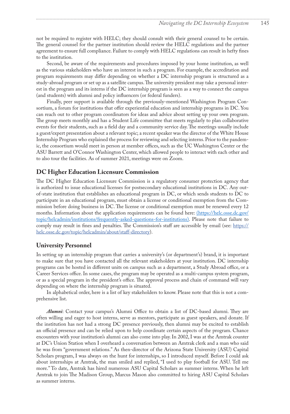not be required to register with HELC; they should consult with their general counsel to be certain. The general counsel for the partner institution should review the HELC regulations and the partner agreement to ensure full compliance. Failure to comply with HELC regulations can result in hefty fines to the institution.

Second, be aware of the requirements and procedures imposed by your home institution, as well as the various stakeholders who have an interest in such a program. For example, the accreditation and program requirements may differ depending on whether a DC internship program is structured as a study-abroad program or set up as a satellite campus. The university president may take a personal interest in the program and its interns if the DC internship program is seen as a way to connect the campus (and students) with alumni and policy influencers (or federal funders).

Finally, peer support is available through the previously-mentioned Washington Program Consortium, a forum for institutions that offer experiential education and internship programs in DC. You can reach out to other program coordinators for ideas and advice about setting up your own program. The group meets monthly and has a Student Life committee that meets regularly to plan collaborative events for their students, such as a field day and a community service day. The meetings usually include a guest/expert presentation about a relevant topic; a recent speaker was the director of the White House Internship Program who explained the process for reviewing and selecting interns. Prior to the pandemic, the consortium would meet in person at member offices, such as the UC Washington Center or the ASU Barrett and O'Connor Washington Center, which allowed people to interact with each other and to also tour the facilities. As of summer 2021, meetings were on Zoom.

### **DC Higher Education Licensure Commission**

The DC Higher Education Licensure Commission is a regulatory consumer protection agency that is authorized to issue educational licenses for postsecondary educational institutions in DC. Any outof-state institution that establishes an educational program in DC, or which sends students to DC to participate in an educational program, must obtain a license or conditional exemption from the Commission before doing business in DC. The license or conditional exemption must be renewed every 12 months. Information about the application requirements can be found here: (https://helc.osse.dc.gov/ topic/helcadmin/institutions/frequently-asked-questions-for-institutions). Please note that failure to comply may result in fines and penalties. The Commission's staff are accessible by email (see: [https://](https://helc.osse.dc.gov/topic/helcadmin/about/staff-directory) [helc.osse.dc.gov/topic/helcadmin/about/staff-directory](https://helc.osse.dc.gov/topic/helcadmin/about/staff-directory)).

### **University Personnel**

In setting up an internship program that carries a university's (or department's) brand, it is important to make sure that you have contacted all the relevant stakeholders at your institution. DC internship programs can be hosted in different units on campus such as a department, a Study Abroad office, or a Career Services office. In some cases, the program may be operated as a multi-campus system program, or as a special program in the president's office. The approval process and chain of command will vary depending on where the internship program is situated.

In alphabetical order, here is a list of key stakeholders to know. Please note that this is not a comprehensive list.

*Alumni*: Contact your campus's Alumni Office to obtain a list of DC-based alumni. They are often willing and eager to host interns, serve as mentors, participate as guest speakers, and donate. If the institution has not had a strong DC presence previously, then alumni may be excited to establish an official presence and can be relied upon to help coordinate certain aspects of the program. Chance encounters with your institution's alumni can also come into play. In 2002, I was at the Amtrak counter at DC's Union Station when I overheard a conversation between an Amtrak clerk and a man who said he was from "government relations." As then-director of the Arizona State University (ASU) Capital Scholars program, I was always on the hunt for internships, so I introduced myself. Before I could ask about internships at Amtrak, the man smiled and replied, "I used to play football for ASU. Tell me more." To date, Amtrak has hired numerous ASU Capital Scholars as summer interns. When he left Amtrak to join The Madison Group, Marcus Mason also committed to hiring ASU Capital Scholars as summer interns.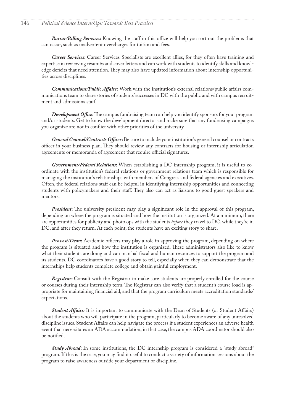#### 146 *Political Science Internships: Towards Best Practices*

*Bursar/Billing Services***:** Knowing the staff in this office will help you sort out the problems that can occur, such as inadvertent overcharges for tuition and fees.

*Career Services*: Career Services Specialists are excellent allies, for they often have training and expertise in reviewing résumés and cover letters and can work with students to identify skills and knowledge deficits that need attention. They may also have updated information about internship opportunities across disciplines.

*Communications/Public Affairs***:** Work with the institution's external relations/public affairs communications team to share stories of students' successes in DC with the public and with campus recruitment and admissions staff.

*Development Office***:** The campus fundraising team can help you identify sponsors for your program and/or students. Get to know the development director and make sure that any fundraising campaigns you organize are not in conflict with other priorities of the university.

*General Counsel/Contracts Officer***:** Be sure to include your institution's general counsel or contracts officer in your business plan. They should review any contracts for housing or internship articulation agreements or memoranda of agreement that require official signatures.

*Government/Federal Relations***:** When establishing a DC internship program, it is useful to coordinate with the institution's federal relations or government relations team which is responsible for managing the institution's relationships with members of Congress and federal agencies and executives. Often, the federal relations staff can be helpful in identifying internship opportunities and connecting students with policymakers and their staff. They also can act as liaisons to good guest speakers and mentors.

*President***:** The university president may play a significant role in the approval of this program, depending on where the program is situated and how the institution is organized. At a minimum, there are opportunities for publicity and photo ops with the students *before* they travel to DC, while they're in DC, and after they return. At each point, the students have an exciting story to share.

*Provost/Dean***:** Academic officers may play a role in approving the program, depending on where the program is situated and how the institution is organized. These administrators also like to know what their students are doing and can marshal fiscal and human resources to support the program and its students. DC coordinators have a good story to tell, especially when they can demonstrate that the internships help students complete college and obtain gainful employment.

*Registrar***:** Consult with the Registrar to make sure students are properly enrolled for the course or courses during their internship term. The Registrar can also verify that a student's course load is appropriate for maintaining financial aid, and that the program curriculum meets accreditation standards/ expectations.

*Student Affairs:* It is important to communicate with the Dean of Students (or Student Affairs) about the students who will participate in the program, particularly to become aware of any unresolved discipline issues. Student Affairs can help navigate the process if a student experiences an adverse health event that necessitates an ADA accommodation; in that case, the campus ADA coordinator should also be notified.

*Study Abroad***:** In some institutions, the DC internship program is considered a "study abroad" program. If this is the case, you may find it useful to conduct a variety of information sessions about the program to raise awareness outside your department or discipline.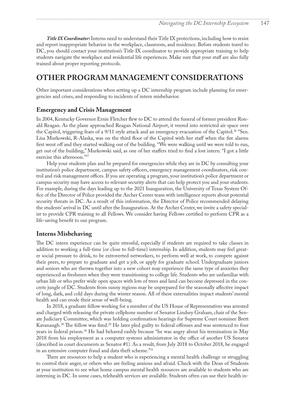<span id="page-12-0"></span>*Title IX Coordinator***:** Interns need to understand their Title IX protections, including how to resist and report inappropriate behavior in the workplace, classroom, and residence. Before students travel to DC, you should contact your institution's Title IX coordinator to provide appropriate training to help students navigate the workplace and residential life experiences. Make sure that your staff are also fully trained about proper reporting protocols.

## **OTHER PROGRAM MANAGEMENT CONSIDERATIONS**

Other important considerations when setting up a DC internship program include planning for emergencies and crises, and responding to incidents of intern misbehavior.

### **Emergency and Crisis Management**

In 2004, Kentucky Governor Ernie Fletcher flew to DC to attend the funeral of former president Ronald Reagan. As the plane approached Reagan National Airport, it veered into restricted air space over the Capitol, triggering fears of a 9/11 style attack and an emergency evacuation of the Capitol.<sup>26</sup> "Sen. Lisa Murkowski, R-Alaska, was on the third floor of the Capitol with her staff when the fire alarms first went off and they started walking out of the building. "We were walking until we were told to run, get out of the building," Murkowski said, as one of her staffers tried to find a lost intern. "I got a little exercise this afternoon.["27](#page-15-0)

Help your students plan and be prepared for emergencies while they are in DC by consulting your institution's police department, campus safety officers, emergency management coordinators, risk control and risk management offices. If you are operating a program, your institution's police department or campus security may have access to relevant security alerts that can help protect you and your students. For example, during the days leading up to the 2021 Inauguration, the University of Texas System Office of the Director of Police provided the Archer Center team with intelligence reports about potential security threats in DC. As a result of this information, the Director of Police recommended delaying the students' arrival in DC until after the Inauguration. At the Archer Center, we invite a safety specialist to provide CPR training to all Fellows. We consider having Fellows certified to perform CPR as a life-saving benefit to our program.

#### **Interns Misbehaving**

The DC intern experience can be quite stressful, especially if students are required to take classes in addition to working a full-time (or close to full-time) internship. In addition, students may feel greater social pressure to drink, to be extroverted networkers, to perform well at work, to compete against their peers, to prepare to graduate and get a job, or apply for graduate school. Undergraduate juniors and seniors who are thrown together into a new cohort may experience the same type of anxieties they experienced as freshmen when they were transitioning to college life. Students who are unfamiliar with urban life or who prefer wide open spaces with lots of trees and land can become depressed in the concrete jungle of DC. Students from sunny regions may be unprepared for the seasonally affective impact of long, dark, and cold days during the winter season. All of these externalities impact students' mental health and can erode their sense of well-being.

In 2018, a graduate fellow working for a member of the US House of Representatives was arrested and charged with releasing the private cellphone number of Senator Lindsey Graham, chair of the Senate Judiciary Committee, which was holding confirmation hearings for Supreme Court nominee Brett Kavanaugh.[28](#page-15-0) The fellow was fired[.29](#page-15-0) He later pled guilty to federal offenses and was sentenced to four years in federal prison.[30](#page-15-0) He had behaved rashly because "he was angry about his termination in May 2018 from his employment as a computer systems administrator in the office of another US Senator (described in court documents as Senator #1). As a result, from July 2018 to October 2018, he engaged in an extensive computer fraud and data theft scheme.["31](#page-15-0)

There are resources to help a student who is experiencing a mental health challenge or struggling to control their anger, or others who are feeling anxious and afraid. Check with the Dean of Students at your institution to see what home campus mental health resources are available to students who are interning in DC. In some cases, telehealth services are available. Students often can use their health in-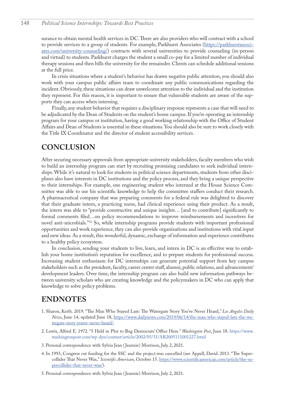#### <span id="page-13-0"></span>148 *Political Science Internships: Towards Best Practices*

surance to obtain mental health services in DC. There are also providers who will contract with a school to provide services to a group of students. For example, Parkhurst Associates ([https://parkhurstassoci](https://parkhurstassociates.com/university-counseling/)[ates.com/university-counseling/\)](https://parkhurstassociates.com/university-counseling/) contracts with several universities to provide counseling (in-person and virtual) to students. Parkhurst charges the student a small co-pay for a limited number of individual therapy sessions and then bills the university for the remainder. Clients can schedule additional sessions at the full price.

In crisis situations where a student's behavior has drawn negative public attention, you should also work with your campus public affairs team to coordinate any public communications regarding the incident. Obviously, these situations can draw unwelcome attention to the individual and the institution they represent. For this reason, it is important to ensure that vulnerable students are aware of the supports they can access when interning.

Finally, any student behavior that requires a disciplinary response represents a case that will need to be adjudicated by the Dean of Students on the student's home campus. If you're operating an internship program for your campus or institution, having a good working relationship with the Office of Student Affairs and Dean of Students is essential in these situations. You should also be sure to work closely with the Title IX Coordinator and the director of student accessibility services.

## **CONCLUSION**

After securing necessary approvals from appropriate university stakeholders, faculty members who wish to build an internship program can start by recruiting promising candidates to seek individual internships. While it's natural to look for students in political science departments, students from other disciplines also have interests in DC institutions and the policy process, and they bring a unique perspective to their internships. For example, one engineering student who interned at the House Science Committee was able to use his scientific knowledge to help the committee staffers conduct their research. A pharmaceutical company that was preparing comments for a federal rule was delighted to discover that their graduate intern, a practicing nurse, had clinical experience using their product. As a result, the intern was able to "provide constructive and unique insights… [and to contribute] significantly to formal comments filed…on policy recommendations to improve reimbursements and incentives for novel anti-microbials."[32](#page-15-0) So, while internship programs provide students with important professional opportunities and work experience, they can also provide organizations and institutions with vital input and new ideas. As a result, this wonderful, dynamic, exchange of information and experience contributes to a healthy policy ecosystem.

In conclusion, sending your students to live, learn, and intern in DC is an effective way to establish your home institution's reputation for excellence, and to prepare students for professional success. Increasing student enthusiasm for DC internships can generate potential support from key campus stakeholders such as the president, faculty, career center staff, alumni, public relations, and advancement/ development leaders. Over time, the internship program can also build new information pathways between university scholars who are creating knowledge and the policymakers in DC who can apply that knowledge to solve policy problems.

## **ENDNOTES**

- [1](#page-0-0). Sharon, Keith. 2019. "The Man Who Stayed Late: The Watergate Story You've Never Heard," *Los Angeles Daily News*, June 14, updated June 18, [https://www.dailynews.com/2019/06/14/the-man-who-stayed-late-the-wa](https://www.dailynews.com/2019/06/14/the-man-who-stayed-late-the-watergate-story-youve-never-heard/)[tergate-story-youve-never-heard/](https://www.dailynews.com/2019/06/14/the-man-who-stayed-late-the-watergate-story-youve-never-heard/).
- [2](#page-0-0). Lewis, Alfred E. 1972. "5 Held in Plot to Bug Democrats' Office Here." *Washington Post*, June 18. [https://www.](https://www.washingtonpost.com/wp-dyn/content/article/2002/05/31/AR2005111001227.html) [washingtonpost.com/wp-dyn/content/article/2002/05/31/AR2005111001227.html](https://www.washingtonpost.com/wp-dyn/content/article/2002/05/31/AR2005111001227.html)
- [3](#page-0-0). Personal correspondence with Sylvia Jean ( Jeannie) Morrison, July 2, 2021.
- [4](#page-0-0). In 1993, Congress cut funding for the SSC and the project was cancelled (see Appell, David. 2013. "The Supercollider That Never Was," *Scientific American*, October 15. [https://www.scientificamerican.com/article/the-su](https://www.scientificamerican.com/article/the-supercollider-that-never-was/)[percollider-that-never-was/](https://www.scientificamerican.com/article/the-supercollider-that-never-was/)).
- [5](#page-1-0). Personal correspondence with Sylvia Jean ( Jeannie) Morrison, July 2, 2021.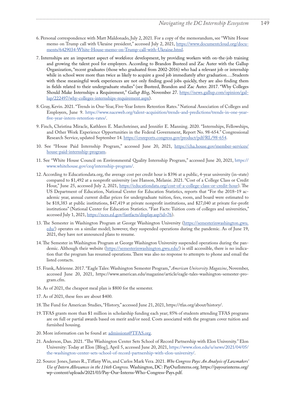- <span id="page-14-0"></span>[6](#page-1-0). Personal correspondence with Matt Maldonado, July 2, 2021. For a copy of the memorandum, see "White House memo on Trump call with Ukraine president," accessed July 2, 2021, [https://www.documentcloud.org/docu](https://www.documentcloud.org/documents/6429034-White-House-memo-on-Trump-call-with-Ukraine.html)[ments/6429034-White-House-memo-on-Trump-call-with-Ukraine.html.](https://www.documentcloud.org/documents/6429034-White-House-memo-on-Trump-call-with-Ukraine.html)
- [7](#page-1-0). Internships are an important aspect of workforce development, by providing workers with on-the-job training and growing the talent pool for employers. According to Brandon Busteed and Zac Auter with the Gallup Organization, "recent graduates (those who graduated from 2002-2016) who had a relevant job or internship while in school were more than twice as likely to acquire a good job immediately after graduation….Students with these meaningful work experiences are not only finding good jobs quickly, they are also finding them in fields related to their undergraduate studies" (see Busteed, Brandon and Zac Auter. 2017. "Why Colleges Should Make Internships a Requirement," *Gallup Blog*, November 27. [https://news.gallup.com/opinion/gal](https://news.gallup.com/opinion/gallup/222497/why-colleges-internships-requirement.aspx)[lup/222497/why-colleges-internships-requirement.aspx](https://news.gallup.com/opinion/gallup/222497/why-colleges-internships-requirement.aspx)).
- [8](#page-1-0). Gray, Kevin. 2021. "Trends in One-Year, Five-Year Intern Retention Rates." National Association of Colleges and Employers, June 9. [https://www.naceweb.org/talent-acquisition/trends-and-predictions/trends-in-one-year](https://www.naceweb.org/talent-acquisition/trends-and-predictions/trends-in-one-year-five-year-intern-retention-rates/)[five-year-intern-retention-rates/](https://www.naceweb.org/talent-acquisition/trends-and-predictions/trends-in-one-year-five-year-intern-retention-rates/).
- [9](#page-1-0). Finch, Christina Miracle, Kathleen E. Marchsteiner, and Jennifer E. Manning. 2020. "Internships, Fellowships, and Other Work Experience Opportunities in the Federal Government, Report No. 98-654." Congressional Research Service, updated September 14. <https://crsreports.congress.gov/product/pdf/RL/98-654>.
- [10](#page-2-0). See "House Paid Internship Program," accessed June 20, 2021, [https://cha.house.gov/member-services/](https://cha.house.gov/member-services/house-paid-internship-program) [house-paid-internship-program](https://cha.house.gov/member-services/house-paid-internship-program).
- [11](#page-2-0). See "White House Council on Environmental Quality Internship Program," accessed June 20, 2021, [https://](https://www.whitehouse.gov/ceq/internship-program/) [www.whitehouse.gov/ceq/internship-program/](https://www.whitehouse.gov/ceq/internship-program/).
- [12](#page-2-0). According to Educationdata.org, the average cost per credit hour is \$396 at a public, 4-year university (in-state) compared to \$1,492 at a nonprofit university (see Hanson, Melanie. 2021. "Cost of a College Class or Credit Hour," June 25, accessed July 2, 2021, <https://educationdata.org/cost-of-a-college-class-or-credit-hour>). The US Department of Education, National Center for Education Statistics, reports that "For the 2018–19 academic year, annual current dollar prices for undergraduate tuition, fees, room, and board were estimated to be \$18,383 at public institutions, \$47,419 at private nonprofit institutions, and \$27,040 at private for-profit institutions" (National Center for Education Statistics. "Fast Facts: Tuition costs of colleges and universities," accessed July 1, 2021,<https://nces.ed.gov/fastfacts/display.asp?id=76>).
- [13](#page-4-0). The Semester in Washington Program at George Washington University [\(https://semesterinwashington.gwu.](https://semesterinwashington.gwu.edu/) [edu/](https://semesterinwashington.gwu.edu/)) operates on a similar model; however, they suspended operations during the pandemic. As of June 19, 2021, they have not announced plans to resume.
- [14](#page-4-0). The Semester in Washington Program at George Washington University suspended operations during the pandemic. Although their website [\(https://semesterinwashington.gwu.edu/](https://semesterinwashington.gwu.edu/)) is still accessible, there is no indication that the program has resumed operations. There was also no response to attempts to phone and email the listed contacts.
- [15](#page-4-0). Frank, Adrienne. 2017. "Eagle Tales: Washington Semester Program," *American University Magazine*, November, accessed June 20, 2021, https://www.american.edu/magazine/article/eagle-tales-washington-semester-program.cfm.
- [16](#page-5-0). As of 2021, the cheapest meal plan is \$800 for the semester.
- [17](#page-5-0). As of 2021, these fees are about \$400.
- [18](#page-5-0). The Fund for American Studies, "History," accessed June 21, 2021, https://tfas.org/about/history/.
- [19](#page-6-0). TFAS grants more than \$1 million in scholarship funding each year; 85% of students attending TFAS programs are on full or partial awards based on merit and/or need. Costs associated with the program cover tuition and furnished housing.
- [20](#page-6-0). More information can be found at: [admissions@TFAS.org](mailto:admissions@TFAS.org).
- [21](#page-6-0). Anderson, Dan. 2021. "The Washington Center Sets School of Record Partnership with Elon University." Elon University: Today at Elon [Blog], April 5, accessed June 20, 2021, [https://www.elon.edu/u/news/2021/04/05/](https://www.elon.edu/u/news/2021/04/05/the-washington-center-sets-school-of-record-partnership-with-elon-university/) [the-washington-center-sets-school-of-record-partnership-with-elon-university/.](https://www.elon.edu/u/news/2021/04/05/the-washington-center-sets-school-of-record-partnership-with-elon-university/)
- [22](#page-8-0). Source: Jones, James R., Tiffany Win, and Carlos Mark Vera. 2021. *Who Congress Pays: An Analysis of Lawmakers' Use of Intern Allowances in the 116th Congress.* Washington, DC: PayOurInterns.org. https://payourinterns.org/ wp-content/uploads/2021/03/Pay-Our-Interns-Who-Congress-Pays.pdf.